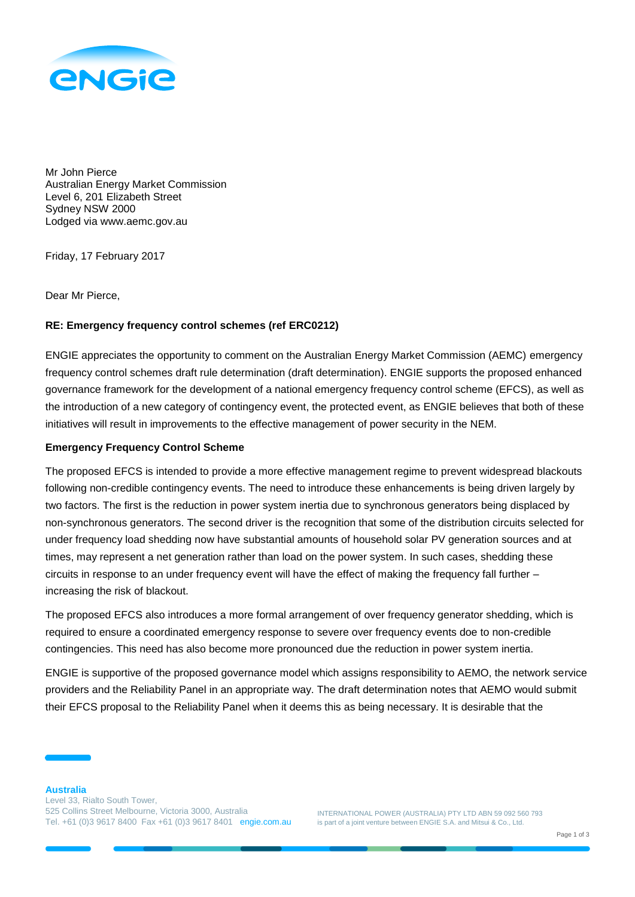

Mr John Pierce Australian Energy Market Commission Level 6, 201 Elizabeth Street Sydney NSW 2000 Lodged via www.aemc.gov.au

Friday, 17 February 2017

Dear Mr Pierce,

## **RE: Emergency frequency control schemes (ref ERC0212)**

ENGIE appreciates the opportunity to comment on the Australian Energy Market Commission (AEMC) emergency frequency control schemes draft rule determination (draft determination). ENGIE supports the proposed enhanced governance framework for the development of a national emergency frequency control scheme (EFCS), as well as the introduction of a new category of contingency event, the protected event, as ENGIE believes that both of these initiatives will result in improvements to the effective management of power security in the NEM.

## **Emergency Frequency Control Scheme**

The proposed EFCS is intended to provide a more effective management regime to prevent widespread blackouts following non-credible contingency events. The need to introduce these enhancements is being driven largely by two factors. The first is the reduction in power system inertia due to synchronous generators being displaced by non-synchronous generators. The second driver is the recognition that some of the distribution circuits selected for under frequency load shedding now have substantial amounts of household solar PV generation sources and at times, may represent a net generation rather than load on the power system. In such cases, shedding these circuits in response to an under frequency event will have the effect of making the frequency fall further – increasing the risk of blackout.

The proposed EFCS also introduces a more formal arrangement of over frequency generator shedding, which is required to ensure a coordinated emergency response to severe over frequency events doe to non-credible contingencies. This need has also become more pronounced due the reduction in power system inertia.

ENGIE is supportive of the proposed governance model which assigns responsibility to AEMO, the network service providers and the Reliability Panel in an appropriate way. The draft determination notes that AEMO would submit their EFCS proposal to the Reliability Panel when it deems this as being necessary. It is desirable that the

INTERNATIONAL POWER (AUSTRALIA) PTY LTD ABN 59 092 560 793 is part of a joint venture between ENGIE S.A. and Mitsui & Co., Ltd.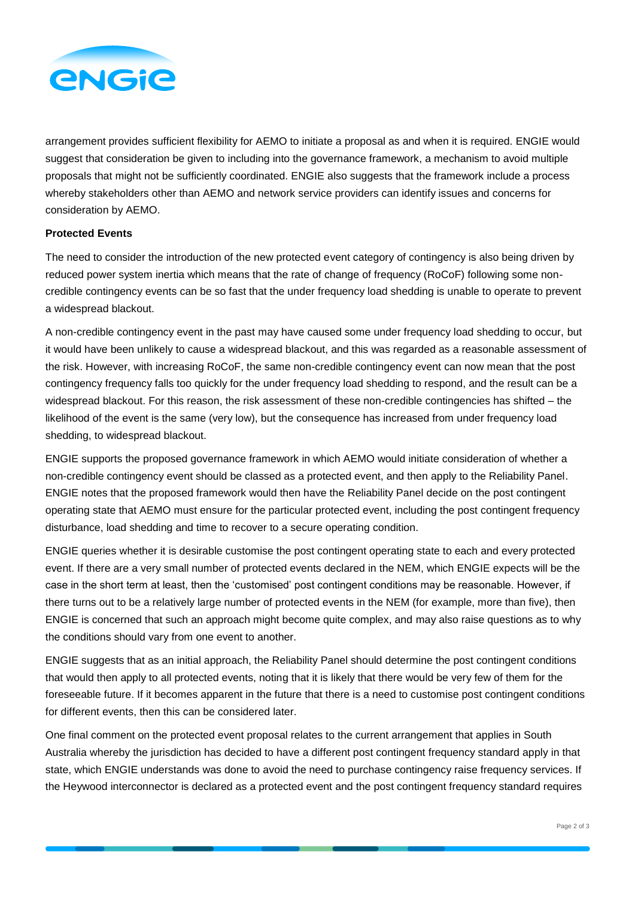

arrangement provides sufficient flexibility for AEMO to initiate a proposal as and when it is required. ENGIE would suggest that consideration be given to including into the governance framework, a mechanism to avoid multiple proposals that might not be sufficiently coordinated. ENGIE also suggests that the framework include a process whereby stakeholders other than AEMO and network service providers can identify issues and concerns for consideration by AEMO.

## **Protected Events**

The need to consider the introduction of the new protected event category of contingency is also being driven by reduced power system inertia which means that the rate of change of frequency (RoCoF) following some noncredible contingency events can be so fast that the under frequency load shedding is unable to operate to prevent a widespread blackout.

A non-credible contingency event in the past may have caused some under frequency load shedding to occur, but it would have been unlikely to cause a widespread blackout, and this was regarded as a reasonable assessment of the risk. However, with increasing RoCoF, the same non-credible contingency event can now mean that the post contingency frequency falls too quickly for the under frequency load shedding to respond, and the result can be a widespread blackout. For this reason, the risk assessment of these non-credible contingencies has shifted – the likelihood of the event is the same (very low), but the consequence has increased from under frequency load shedding, to widespread blackout.

ENGIE supports the proposed governance framework in which AEMO would initiate consideration of whether a non-credible contingency event should be classed as a protected event, and then apply to the Reliability Panel. ENGIE notes that the proposed framework would then have the Reliability Panel decide on the post contingent operating state that AEMO must ensure for the particular protected event, including the post contingent frequency disturbance, load shedding and time to recover to a secure operating condition.

ENGIE queries whether it is desirable customise the post contingent operating state to each and every protected event. If there are a very small number of protected events declared in the NEM, which ENGIE expects will be the case in the short term at least, then the 'customised' post contingent conditions may be reasonable. However, if there turns out to be a relatively large number of protected events in the NEM (for example, more than five), then ENGIE is concerned that such an approach might become quite complex, and may also raise questions as to why the conditions should vary from one event to another.

ENGIE suggests that as an initial approach, the Reliability Panel should determine the post contingent conditions that would then apply to all protected events, noting that it is likely that there would be very few of them for the foreseeable future. If it becomes apparent in the future that there is a need to customise post contingent conditions for different events, then this can be considered later.

One final comment on the protected event proposal relates to the current arrangement that applies in South Australia whereby the jurisdiction has decided to have a different post contingent frequency standard apply in that state, which ENGIE understands was done to avoid the need to purchase contingency raise frequency services. If the Heywood interconnector is declared as a protected event and the post contingent frequency standard requires